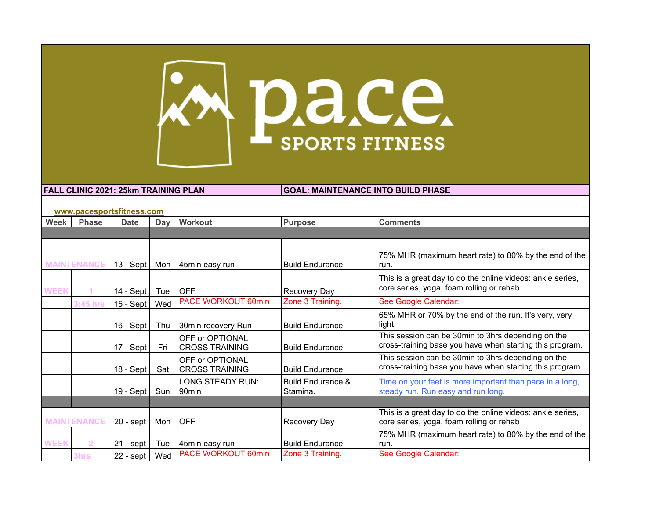

**FALL CLINIC 2021: 25km TRAINING PLAN GOAL: MAINTENANCE INTO BUILD PHASE** 

|             | www.pacesportsfitness.com |             |     |                                          |                                          |                                                                                                                |  |  |  |
|-------------|---------------------------|-------------|-----|------------------------------------------|------------------------------------------|----------------------------------------------------------------------------------------------------------------|--|--|--|
| Week        | <b>Phase</b>              | <b>Date</b> | Day | <b>Workout</b>                           | Purpose                                  | <b>Comments</b>                                                                                                |  |  |  |
|             |                           |             |     |                                          |                                          |                                                                                                                |  |  |  |
|             | <b>MAINTENANCE</b>        | $13 - Sept$ | Mon | 45min easy run                           | <b>Build Endurance</b>                   | 75% MHR (maximum heart rate) to 80% by the end of the<br>run.                                                  |  |  |  |
| <b>WEEK</b> |                           | 14 - Sept I | Tue | <b>OFF</b>                               | Recovery Day                             | This is a great day to do the online videos: ankle series,<br>core series, yoga, foam rolling or rehab         |  |  |  |
|             | $3:45$ hrs                | $15 - Sept$ | Wed | PACE WORKOUT 60min                       | Zone 3 Training.                         | See Google Calendar:                                                                                           |  |  |  |
|             |                           | $16 - Sept$ | Thu | 30min recovery Run                       | <b>Build Endurance</b>                   | 65% MHR or 70% by the end of the run. It's very, very<br>light.                                                |  |  |  |
|             |                           | $17 - Sept$ | Fri | OFF or OPTIONAL<br><b>CROSS TRAINING</b> | <b>Build Endurance</b>                   | This session can be 30min to 3hrs depending on the<br>cross-training base you have when starting this program. |  |  |  |
|             |                           | $18 - Sept$ | Sat | OFF or OPTIONAL<br><b>CROSS TRAINING</b> | <b>Build Endurance</b>                   | This session can be 30min to 3hrs depending on the<br>cross-training base you have when starting this program. |  |  |  |
|             |                           | 19 - Sept   | Sun | LONG STEADY RUN:<br>90 <sub>min</sub>    | <b>Build Endurance &amp;</b><br>Stamina. | Time on your feet is more important than pace in a long,<br>steady run. Run easy and run long.                 |  |  |  |
|             |                           |             |     |                                          |                                          |                                                                                                                |  |  |  |
|             | <b>MAINTENANCE</b>        | $20 -$ sept | Mon | <b>OFF</b>                               | Recovery Day                             | This is a great day to do the online videos: ankle series,<br>core series, yoga, foam rolling or rehab         |  |  |  |
| <b>WEEK</b> |                           | $21 -$ sept | Tue | 45min easy run                           | <b>Build Endurance</b>                   | 75% MHR (maximum heart rate) to 80% by the end of the<br>run.                                                  |  |  |  |
|             | 3hrs                      | $22 -$ sept | Wed | PACE WORKOUT 60min                       | Zone 3 Training.                         | See Google Calendar:                                                                                           |  |  |  |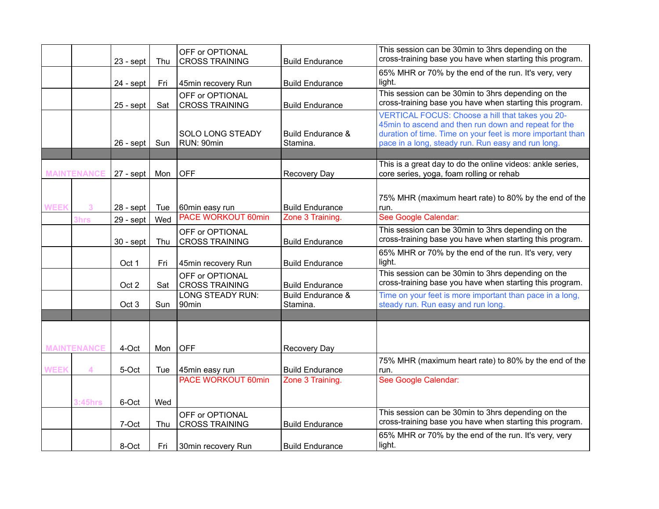|             |                    | $23 - sept$ | Thu | OFF or OPTIONAL<br><b>CROSS TRAINING</b> | <b>Build Endurance</b>                   | This session can be 30min to 3hrs depending on the<br>cross-training base you have when starting this program.                                                                                                               |
|-------------|--------------------|-------------|-----|------------------------------------------|------------------------------------------|------------------------------------------------------------------------------------------------------------------------------------------------------------------------------------------------------------------------------|
|             |                    | $24 - sept$ | Fri | 45min recovery Run                       | <b>Build Endurance</b>                   | 65% MHR or 70% by the end of the run. It's very, very<br>light.                                                                                                                                                              |
|             |                    | $25 -$ sept | Sat | OFF or OPTIONAL<br><b>CROSS TRAINING</b> | <b>Build Endurance</b>                   | This session can be 30min to 3hrs depending on the<br>cross-training base you have when starting this program.                                                                                                               |
|             |                    | $26 -$ sept | Sun | SOLO LONG STEADY<br>RUN: 90min           | <b>Build Endurance &amp;</b><br>Stamina. | VERTICAL FOCUS: Choose a hill that takes you 20-<br>45min to ascend and then run down and repeat for the<br>duration of time. Time on your feet is more important than<br>pace in a long, steady run. Run easy and run long. |
|             | <b>MAINTENANCE</b> | $27 - sept$ | Mon | <b>OFF</b>                               | <b>Recovery Day</b>                      | This is a great day to do the online videos: ankle series,<br>core series, yoga, foam rolling or rehab                                                                                                                       |
| <b>WEEK</b> | 3                  | $28 -$ sept | Tue | 60min easy run                           | <b>Build Endurance</b>                   | 75% MHR (maximum heart rate) to 80% by the end of the<br>run.                                                                                                                                                                |
|             | 3hrs               | 29 - sept   | Wed | <b>PACE WORKOUT 60min</b>                | Zone 3 Training.                         | See Google Calendar:<br>This session can be 30min to 3hrs depending on the                                                                                                                                                   |
|             |                    | $30 -$ sept | Thu | OFF or OPTIONAL<br><b>CROSS TRAINING</b> | <b>Build Endurance</b>                   | cross-training base you have when starting this program.                                                                                                                                                                     |
|             |                    | Oct 1       | Fri | 45min recovery Run                       | <b>Build Endurance</b>                   | 65% MHR or 70% by the end of the run. It's very, very<br>light.                                                                                                                                                              |
|             |                    | Oct 2       | Sat | OFF or OPTIONAL<br><b>CROSS TRAINING</b> | <b>Build Endurance</b>                   | This session can be 30min to 3hrs depending on the<br>cross-training base you have when starting this program.                                                                                                               |
|             |                    | Oct 3       | Sun | <b>LONG STEADY RUN:</b><br>90min         | <b>Build Endurance &amp;</b><br>Stamina. | Time on your feet is more important than pace in a long,<br>steady run. Run easy and run long.                                                                                                                               |
|             |                    |             |     |                                          |                                          |                                                                                                                                                                                                                              |
|             | <b>MAINTENANCE</b> | 4-Oct       | Mon | <b>OFF</b>                               | Recovery Day                             |                                                                                                                                                                                                                              |
| <b>WEEK</b> | $\boldsymbol{A}$   | 5-Oct       | Tue | 45min easy run                           | <b>Build Endurance</b>                   | 75% MHR (maximum heart rate) to 80% by the end of the<br>run.                                                                                                                                                                |
|             |                    |             |     | <b>PACE WORKOUT 60min</b>                | Zone 3 Training.                         | See Google Calendar:                                                                                                                                                                                                         |
|             | <b>3:45hrs</b>     | 6-Oct       | Wed |                                          |                                          |                                                                                                                                                                                                                              |
|             |                    | 7-Oct       | Thu | OFF or OPTIONAL<br><b>CROSS TRAINING</b> | <b>Build Endurance</b>                   | This session can be 30min to 3hrs depending on the<br>cross-training base you have when starting this program.                                                                                                               |
|             |                    | 8-Oct       | Fri | 30min recovery Run                       | <b>Build Endurance</b>                   | 65% MHR or 70% by the end of the run. It's very, very<br>light.                                                                                                                                                              |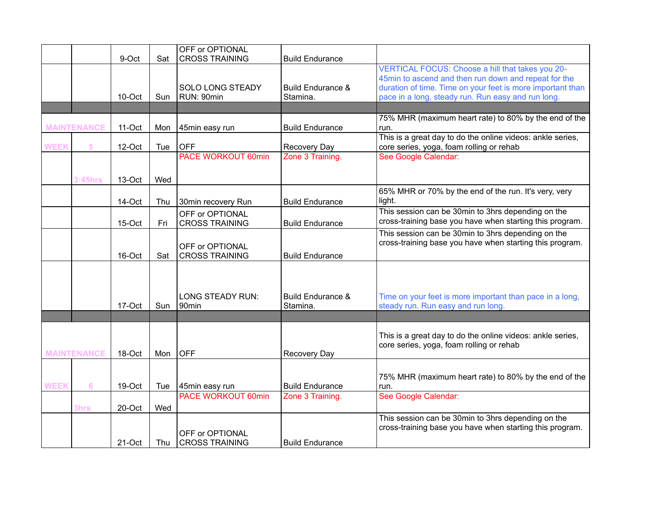|             |                    | 9-Oct  | Sat | OFF or OPTIONAL<br><b>CROSS TRAINING</b> | <b>Build Endurance</b>       |                                                            |
|-------------|--------------------|--------|-----|------------------------------------------|------------------------------|------------------------------------------------------------|
|             |                    |        |     |                                          |                              | VERTICAL FOCUS: Choose a hill that takes you 20-           |
|             |                    |        |     |                                          |                              | 45min to ascend and then run down and repeat for the       |
|             |                    |        |     | <b>SOLO LONG STEADY</b>                  | Build Endurance &            | duration of time. Time on your feet is more important than |
|             |                    | 10-Oct | Sun | RUN: 90min                               | Stamina.                     | pace in a long, steady run. Run easy and run long.         |
|             |                    |        |     |                                          |                              |                                                            |
|             |                    |        |     |                                          |                              | 75% MHR (maximum heart rate) to 80% by the end of the      |
|             | <b>MAINTENANCE</b> | 11-Oct | Mon | 45min easy run                           | <b>Build Endurance</b>       | run.                                                       |
|             |                    |        |     |                                          |                              | This is a great day to do the online videos: ankle series, |
| <b>WEEK</b> | 5                  | 12-Oct | Tue | <b>OFF</b>                               | Recovery Day                 | core series, yoga, foam rolling or rehab                   |
|             |                    |        |     | <b>PACE WORKOUT 60min</b>                | Zone 3 Training.             | See Google Calendar:                                       |
|             |                    |        |     |                                          |                              |                                                            |
|             | <b>3:45hrs</b>     | 13-Oct | Wed |                                          |                              |                                                            |
|             |                    |        |     |                                          |                              | 65% MHR or 70% by the end of the run. It's very, very      |
|             |                    | 14-Oct | Thu | 30min recovery Run                       | <b>Build Endurance</b>       | light.                                                     |
|             |                    |        |     | OFF or OPTIONAL                          |                              | This session can be 30min to 3hrs depending on the         |
|             |                    | 15-Oct | Fri | <b>CROSS TRAINING</b>                    | <b>Build Endurance</b>       | cross-training base you have when starting this program.   |
|             |                    |        |     |                                          |                              | This session can be 30min to 3hrs depending on the         |
|             |                    |        |     | OFF or OPTIONAL                          |                              | cross-training base you have when starting this program.   |
|             |                    | 16-Oct | Sat | <b>CROSS TRAINING</b>                    | <b>Build Endurance</b>       |                                                            |
|             |                    |        |     |                                          |                              |                                                            |
|             |                    |        |     |                                          |                              |                                                            |
|             |                    |        |     |                                          |                              |                                                            |
|             |                    |        |     | <b>LONG STEADY RUN:</b>                  | <b>Build Endurance &amp;</b> | Time on your feet is more important than pace in a long,   |
|             |                    | 17-Oct | Sun | 90 <sub>min</sub>                        | Stamina.                     | steady run. Run easy and run long.                         |
|             |                    |        |     |                                          |                              |                                                            |
|             |                    |        |     |                                          |                              | This is a great day to do the online videos: ankle series, |
|             |                    |        |     |                                          |                              | core series, yoga, foam rolling or rehab                   |
|             | <b>MAINTENANCE</b> | 18-Oct | Mon | <b>OFF</b>                               | Recovery Day                 |                                                            |
|             |                    |        |     |                                          |                              |                                                            |
|             |                    |        |     |                                          |                              | 75% MHR (maximum heart rate) to 80% by the end of the      |
| <b>WEEK</b> | $6\phantom{1}6$    | 19-Oct | Tue | 45min easy run                           | <b>Build Endurance</b>       | run.                                                       |
|             |                    |        |     | <b>PACE WORKOUT 60min</b>                | Zone 3 Training.             | See Google Calendar:                                       |
|             | 3hrs               | 20-Oct | Wed |                                          |                              |                                                            |
|             |                    |        |     |                                          |                              | This session can be 30min to 3hrs depending on the         |
|             |                    |        |     |                                          |                              | cross-training base you have when starting this program.   |
|             |                    |        |     | OFF or OPTIONAL                          |                              |                                                            |
|             |                    | 21-Oct | Thu | <b>CROSS TRAINING</b>                    | <b>Build Endurance</b>       |                                                            |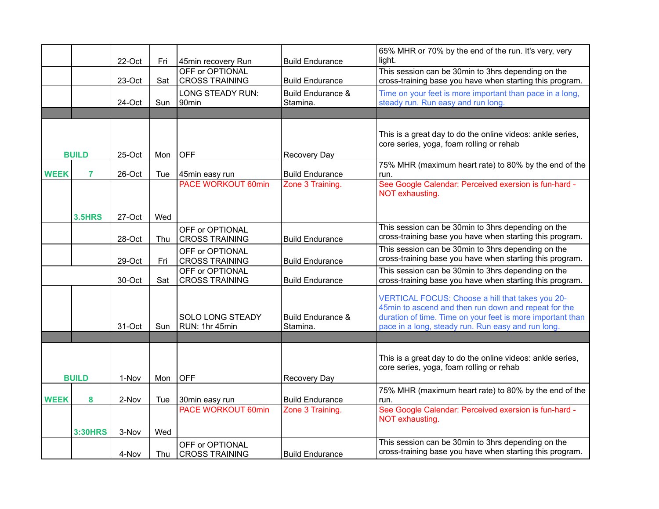|              |                | 22-Oct | Fri | 45min recovery Run                       | <b>Build Endurance</b>                   | 65% MHR or 70% by the end of the run. It's very, very<br>light.                                                                                                                                                              |
|--------------|----------------|--------|-----|------------------------------------------|------------------------------------------|------------------------------------------------------------------------------------------------------------------------------------------------------------------------------------------------------------------------------|
|              |                | 23-Oct | Sat | OFF or OPTIONAL<br><b>CROSS TRAINING</b> | <b>Build Endurance</b>                   | This session can be 30min to 3hrs depending on the<br>cross-training base you have when starting this program.                                                                                                               |
|              |                | 24-Oct | Sun | LONG STEADY RUN:<br>90min                | <b>Build Endurance &amp;</b><br>Stamina. | Time on your feet is more important than pace in a long,<br>steady run. Run easy and run long.                                                                                                                               |
|              |                |        |     |                                          |                                          |                                                                                                                                                                                                                              |
| <b>BUILD</b> |                | 25-Oct | Mon | <b>OFF</b>                               | Recovery Day                             | This is a great day to do the online videos: ankle series,<br>core series, yoga, foam rolling or rehab                                                                                                                       |
| <b>WEEK</b>  | 7              | 26-Oct | Tue | 45min easy run                           | <b>Build Endurance</b>                   | 75% MHR (maximum heart rate) to 80% by the end of the<br>run.                                                                                                                                                                |
|              |                |        |     | <b>PACE WORKOUT 60min</b>                | Zone 3 Training.                         | See Google Calendar: Perceived exersion is fun-hard -<br>NOT exhausting.                                                                                                                                                     |
|              | <b>3.5HRS</b>  | 27-Oct | Wed |                                          |                                          |                                                                                                                                                                                                                              |
|              |                | 28-Oct | Thu | OFF or OPTIONAL<br><b>CROSS TRAINING</b> | <b>Build Endurance</b>                   | This session can be 30min to 3hrs depending on the<br>cross-training base you have when starting this program.                                                                                                               |
|              |                | 29-Oct | Fri | OFF or OPTIONAL<br><b>CROSS TRAINING</b> | <b>Build Endurance</b>                   | This session can be 30min to 3hrs depending on the<br>cross-training base you have when starting this program.                                                                                                               |
|              |                | 30-Oct | Sat | OFF or OPTIONAL<br><b>CROSS TRAINING</b> | <b>Build Endurance</b>                   | This session can be 30min to 3hrs depending on the<br>cross-training base you have when starting this program.                                                                                                               |
|              |                | 31-Oct | Sun | SOLO LONG STEADY<br>RUN: 1hr 45min       | Build Endurance &<br>Stamina.            | VERTICAL FOCUS: Choose a hill that takes you 20-<br>45min to ascend and then run down and repeat for the<br>duration of time. Time on your feet is more important than<br>pace in a long, steady run. Run easy and run long. |
|              |                |        |     |                                          |                                          |                                                                                                                                                                                                                              |
| <b>BUILD</b> |                | 1-Nov  | Mon | OFF                                      | Recovery Day                             | This is a great day to do the online videos: ankle series,<br>core series, yoga, foam rolling or rehab                                                                                                                       |
| <b>WEEK</b>  | 8              | 2-Nov  | Tue | 30min easy run                           | <b>Build Endurance</b>                   | 75% MHR (maximum heart rate) to 80% by the end of the<br>run.                                                                                                                                                                |
|              |                |        |     | <b>PACE WORKOUT 60min</b>                | Zone 3 Training.                         | See Google Calendar: Perceived exersion is fun-hard -<br>NOT exhausting.                                                                                                                                                     |
|              | <b>3:30HRS</b> | 3-Nov  | Wed |                                          |                                          |                                                                                                                                                                                                                              |
|              |                | 4-Nov  | Thu | OFF or OPTIONAL<br><b>CROSS TRAINING</b> | <b>Build Endurance</b>                   | This session can be 30min to 3hrs depending on the<br>cross-training base you have when starting this program.                                                                                                               |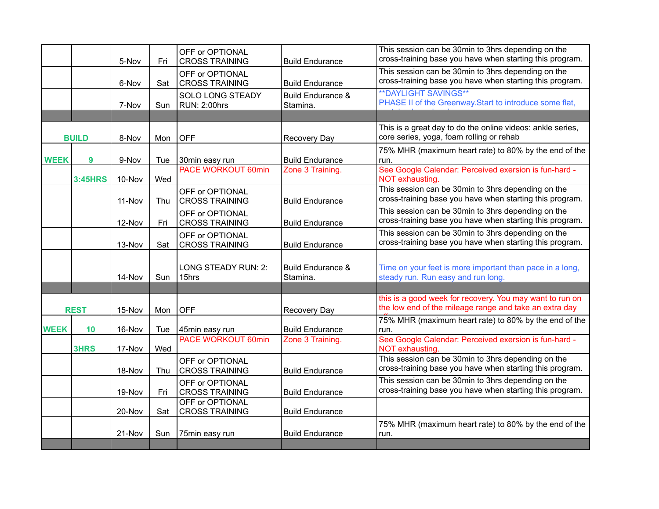|              |                | 5-Nov  | Fri | OFF or OPTIONAL<br><b>CROSS TRAINING</b> | <b>Build Endurance</b>                   | This session can be 30min to 3hrs depending on the<br>cross-training base you have when starting this program.     |
|--------------|----------------|--------|-----|------------------------------------------|------------------------------------------|--------------------------------------------------------------------------------------------------------------------|
|              |                | 6-Nov  | Sat | OFF or OPTIONAL<br><b>CROSS TRAINING</b> | <b>Build Endurance</b>                   | This session can be 30min to 3hrs depending on the<br>cross-training base you have when starting this program.     |
|              |                | 7-Nov  | Sun | SOLO LONG STEADY<br>RUN: 2:00hrs         | <b>Build Endurance &amp;</b><br>Stamina. | <b>**DAYLIGHT SAVINGS**</b><br>PHASE II of the Greenway. Start to introduce some flat,                             |
|              |                |        |     |                                          |                                          |                                                                                                                    |
| <b>BUILD</b> |                | 8-Nov  | Mon | OFF                                      | Recovery Day                             | This is a great day to do the online videos: ankle series,<br>core series, yoga, foam rolling or rehab             |
| <b>WEEK</b>  | 9              | 9-Nov  | Tue | 30min easy run                           | <b>Build Endurance</b>                   | 75% MHR (maximum heart rate) to 80% by the end of the<br>run.                                                      |
|              | <b>3:45HRS</b> | 10-Nov | Wed | <b>PACE WORKOUT 60min</b>                | Zone 3 Training.                         | See Google Calendar: Perceived exersion is fun-hard -<br>NOT exhausting.                                           |
|              |                | 11-Nov | Thu | OFF or OPTIONAL<br><b>CROSS TRAINING</b> | <b>Build Endurance</b>                   | This session can be 30min to 3hrs depending on the<br>cross-training base you have when starting this program.     |
|              |                | 12-Nov | Fri | OFF or OPTIONAL<br><b>CROSS TRAINING</b> | <b>Build Endurance</b>                   | This session can be 30min to 3hrs depending on the<br>cross-training base you have when starting this program.     |
|              |                | 13-Nov | Sat | OFF or OPTIONAL<br><b>CROSS TRAINING</b> | <b>Build Endurance</b>                   | This session can be 30min to 3hrs depending on the<br>cross-training base you have when starting this program.     |
|              |                | 14-Nov | Sun | LONG STEADY RUN: 2:<br>15hrs             | <b>Build Endurance &amp;</b><br>Stamina. | Time on your feet is more important than pace in a long,<br>steady run. Run easy and run long.                     |
|              |                |        |     |                                          |                                          |                                                                                                                    |
|              | <b>REST</b>    |        | Mon | <b>OFF</b>                               | Recovery Day                             | this is a good week for recovery. You may want to run on<br>the low end of the mileage range and take an extra day |
| <b>WEEK</b>  | 10             | 16-Nov | Tue | 45min easy run                           | <b>Build Endurance</b>                   | 75% MHR (maximum heart rate) to 80% by the end of the<br>run.                                                      |
|              | 3HRS           | 17-Nov | Wed | <b>PACE WORKOUT 60min</b>                | Zone 3 Training.                         | See Google Calendar: Perceived exersion is fun-hard -<br>NOT exhausting.                                           |
|              |                | 18-Nov | Thu | OFF or OPTIONAL<br><b>CROSS TRAINING</b> | <b>Build Endurance</b>                   | This session can be 30min to 3hrs depending on the<br>cross-training base you have when starting this program.     |
|              |                | 19-Nov | Fri | OFF or OPTIONAL<br><b>CROSS TRAINING</b> | <b>Build Endurance</b>                   | This session can be 30min to 3hrs depending on the<br>cross-training base you have when starting this program.     |
|              |                | 20-Nov | Sat | OFF or OPTIONAL<br><b>CROSS TRAINING</b> | <b>Build Endurance</b>                   |                                                                                                                    |
|              |                | 21-Nov | Sun | 75min easy run                           | <b>Build Endurance</b>                   | 75% MHR (maximum heart rate) to 80% by the end of the<br>run.                                                      |
|              |                |        |     |                                          |                                          |                                                                                                                    |